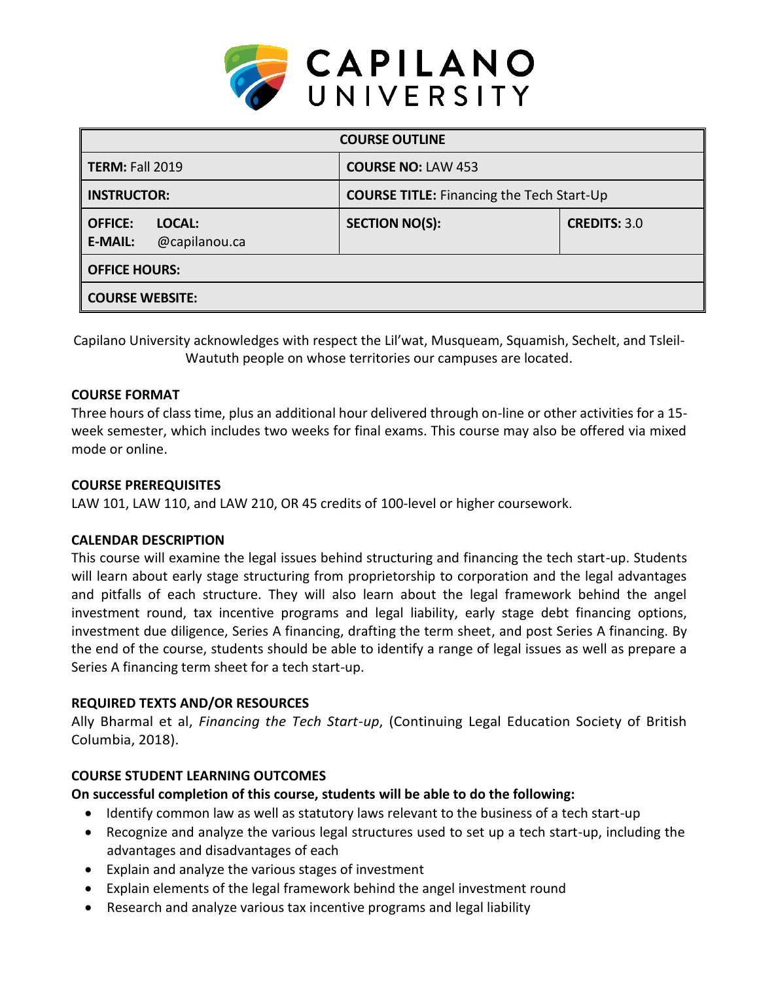

| <b>COURSE OUTLINE</b>                                       |                                                  |                     |  |  |  |
|-------------------------------------------------------------|--------------------------------------------------|---------------------|--|--|--|
| <b>TERM: Fall 2019</b>                                      | <b>COURSE NO: LAW 453</b>                        |                     |  |  |  |
| <b>INSTRUCTOR:</b>                                          | <b>COURSE TITLE:</b> Financing the Tech Start-Up |                     |  |  |  |
| <b>OFFICE:</b><br>LOCAL:<br><b>E-MAIL:</b><br>@capilanou.ca | <b>SECTION NO(S):</b>                            | <b>CREDITS: 3.0</b> |  |  |  |
| <b>OFFICE HOURS:</b>                                        |                                                  |                     |  |  |  |
| <b>COURSE WEBSITE:</b>                                      |                                                  |                     |  |  |  |

Capilano University acknowledges with respect the Lil'wat, Musqueam, Squamish, Sechelt, and Tsleil-Waututh people on whose territories our campuses are located.

## **COURSE FORMAT**

Three hours of class time, plus an additional hour delivered through on-line or other activities for a 15 week semester, which includes two weeks for final exams. This course may also be offered via mixed mode or online.

#### **COURSE PREREQUISITES**

LAW 101, LAW 110, and LAW 210, OR 45 credits of 100-level or higher coursework.

## **CALENDAR DESCRIPTION**

This course will examine the legal issues behind structuring and financing the tech start-up. Students will learn about early stage structuring from proprietorship to corporation and the legal advantages and pitfalls of each structure. They will also learn about the legal framework behind the angel investment round, tax incentive programs and legal liability, early stage debt financing options, investment due diligence, Series A financing, drafting the term sheet, and post Series A financing. By the end of the course, students should be able to identify a range of legal issues as well as prepare a Series A financing term sheet for a tech start-up.

## **REQUIRED TEXTS AND/OR RESOURCES**

Ally Bharmal et al, *Financing the Tech Start-up*, (Continuing Legal Education Society of British Columbia, 2018).

## **COURSE STUDENT LEARNING OUTCOMES**

## **On successful completion of this course, students will be able to do the following:**

- Identify common law as well as statutory laws relevant to the business of a tech start-up
- Recognize and analyze the various legal structures used to set up a tech start-up, including the advantages and disadvantages of each
- Explain and analyze the various stages of investment
- Explain elements of the legal framework behind the angel investment round
- Research and analyze various tax incentive programs and legal liability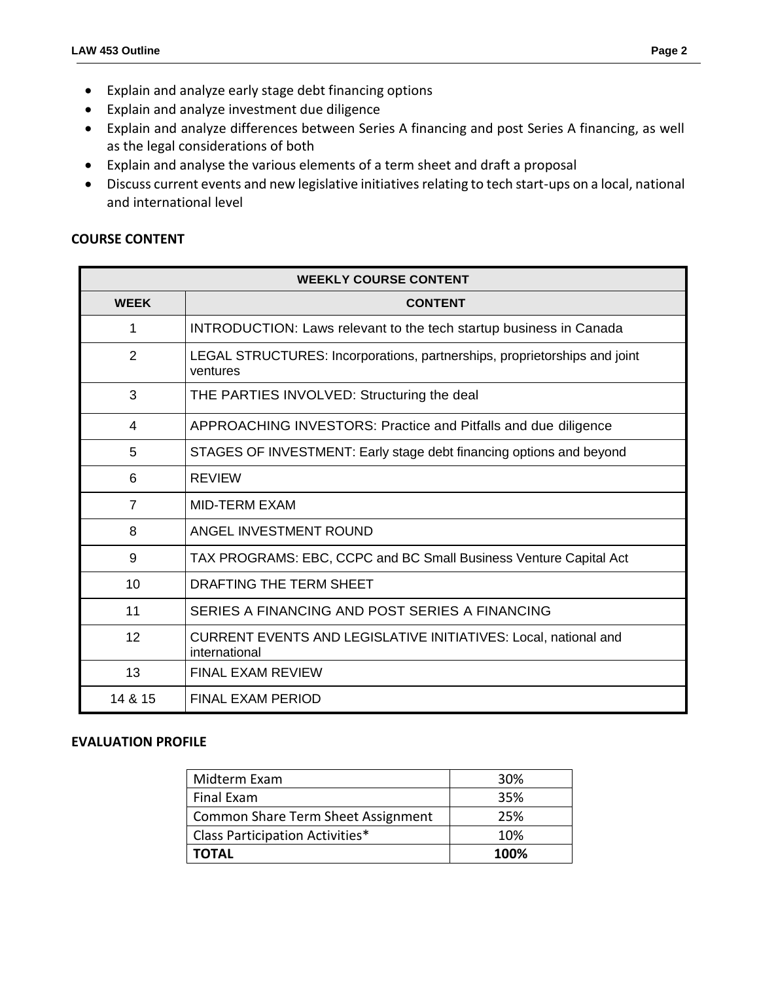- Explain and analyze early stage debt financing options
- Explain and analyze investment due diligence
- Explain and analyze differences between Series A financing and post Series A financing, as well as the legal considerations of both
- Explain and analyse the various elements of a term sheet and draft a proposal
- Discuss current events and new legislative initiatives relating to tech start-ups on a local, national and international level

# **COURSE CONTENT**

| <b>WEEKLY COURSE CONTENT</b> |                                                                                       |  |  |  |  |
|------------------------------|---------------------------------------------------------------------------------------|--|--|--|--|
| <b>WEEK</b>                  | <b>CONTENT</b>                                                                        |  |  |  |  |
| 1                            | <b>INTRODUCTION: Laws relevant to the tech startup business in Canada</b>             |  |  |  |  |
| $\overline{2}$               | LEGAL STRUCTURES: Incorporations, partnerships, proprietorships and joint<br>ventures |  |  |  |  |
| 3                            | THE PARTIES INVOLVED: Structuring the deal                                            |  |  |  |  |
| 4                            | APPROACHING INVESTORS: Practice and Pitfalls and due diligence                        |  |  |  |  |
| 5                            | STAGES OF INVESTMENT: Early stage debt financing options and beyond                   |  |  |  |  |
| 6                            | <b>REVIEW</b>                                                                         |  |  |  |  |
| $\overline{7}$               | <b>MID-TERM EXAM</b>                                                                  |  |  |  |  |
| 8                            | ANGEL INVESTMENT ROUND                                                                |  |  |  |  |
| 9                            | TAX PROGRAMS: EBC, CCPC and BC Small Business Venture Capital Act                     |  |  |  |  |
| 10                           | DRAFTING THE TERM SHEET                                                               |  |  |  |  |
| 11                           | SERIES A FINANCING AND POST SERIES A FINANCING                                        |  |  |  |  |
| 12                           | CURRENT EVENTS AND LEGISLATIVE INITIATIVES: Local, national and<br>international      |  |  |  |  |
| 13                           | FINAL FXAM REVIEW                                                                     |  |  |  |  |
| 14 & 15                      | <b>FINAL EXAM PERIOD</b>                                                              |  |  |  |  |

#### **EVALUATION PROFILE**

| Midterm Exam                              | 30%  |
|-------------------------------------------|------|
| Final Exam                                | 35%  |
| <b>Common Share Term Sheet Assignment</b> | 25%  |
| Class Participation Activities*           | 10%  |
| <b>TOTAL</b>                              | 100% |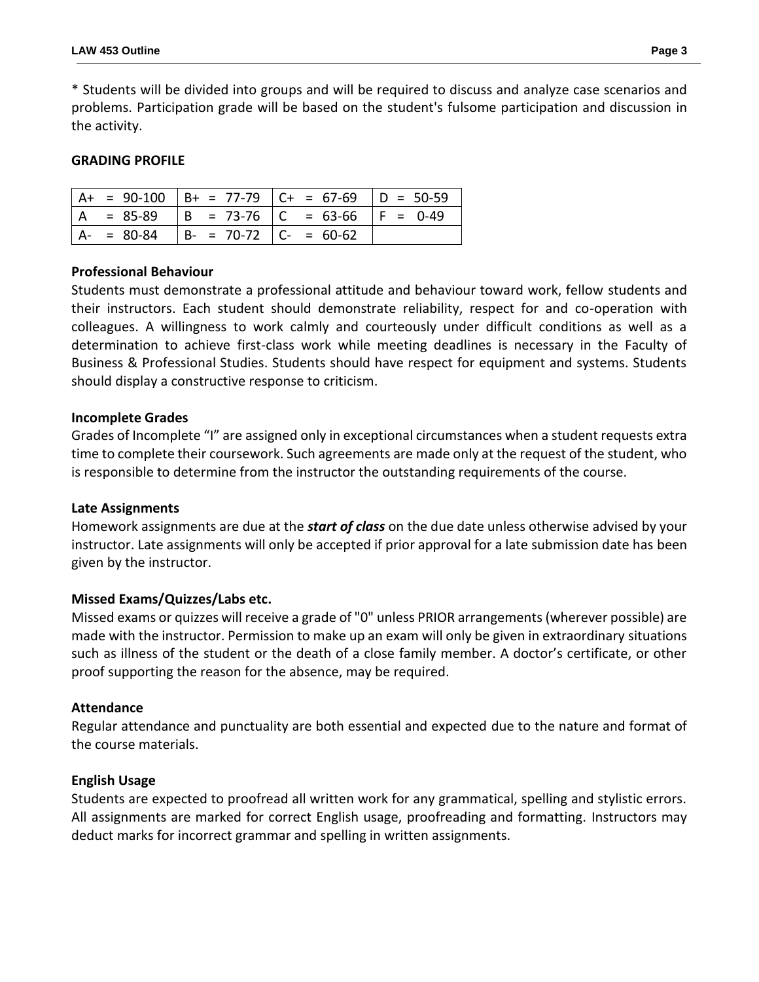\* Students will be divided into groups and will be required to discuss and analyze case scenarios and problems. Participation grade will be based on the student's fulsome participation and discussion in the activity.

### **GRADING PROFILE**

|  |                                           | $A+ = 90-100$ $B+ = 77-79$ $C+ = 67-69$ $D = 50-59$ |  |
|--|-------------------------------------------|-----------------------------------------------------|--|
|  |                                           | $ A = 85-89$ $ B = 73-76$ $ C = 63-66$ $ F = 0-49$  |  |
|  | $ A- = 80-84$ $ B- = 70-72$ $ C- = 60-62$ |                                                     |  |

### **Professional Behaviour**

Students must demonstrate a professional attitude and behaviour toward work, fellow students and their instructors. Each student should demonstrate reliability, respect for and co-operation with colleagues. A willingness to work calmly and courteously under difficult conditions as well as a determination to achieve first-class work while meeting deadlines is necessary in the Faculty of Business & Professional Studies. Students should have respect for equipment and systems. Students should display a constructive response to criticism.

#### **Incomplete Grades**

Grades of Incomplete "I" are assigned only in exceptional circumstances when a student requests extra time to complete their coursework. Such agreements are made only at the request of the student, who is responsible to determine from the instructor the outstanding requirements of the course.

#### **Late Assignments**

Homework assignments are due at the *start of class* on the due date unless otherwise advised by your instructor. Late assignments will only be accepted if prior approval for a late submission date has been given by the instructor.

## **Missed Exams/Quizzes/Labs etc.**

Missed exams or quizzes will receive a grade of "0" unless PRIOR arrangements (wherever possible) are made with the instructor. Permission to make up an exam will only be given in extraordinary situations such as illness of the student or the death of a close family member. A doctor's certificate, or other proof supporting the reason for the absence, may be required.

#### **Attendance**

Regular attendance and punctuality are both essential and expected due to the nature and format of the course materials.

#### **English Usage**

Students are expected to proofread all written work for any grammatical, spelling and stylistic errors. All assignments are marked for correct English usage, proofreading and formatting. Instructors may deduct marks for incorrect grammar and spelling in written assignments.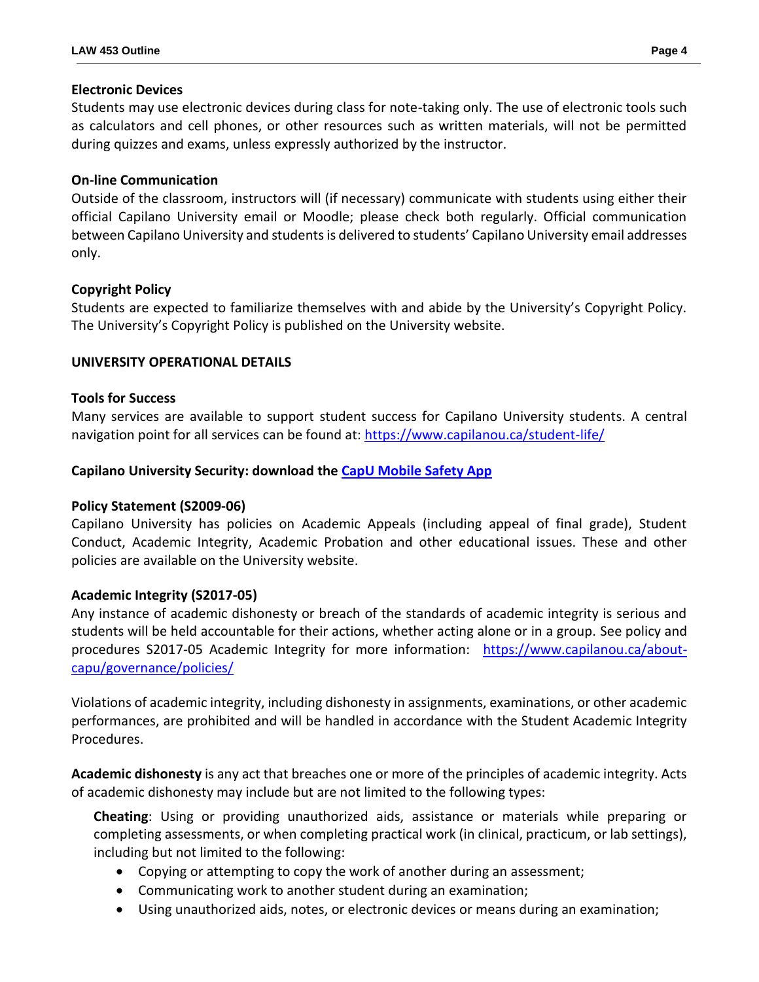### **Electronic Devices**

Students may use electronic devices during class for note-taking only. The use of electronic tools such as calculators and cell phones, or other resources such as written materials, will not be permitted during quizzes and exams, unless expressly authorized by the instructor.

## **On-line Communication**

Outside of the classroom, instructors will (if necessary) communicate with students using either their official Capilano University email or Moodle; please check both regularly. Official communication between Capilano University and students is delivered to students' Capilano University email addresses only.

### **Copyright Policy**

Students are expected to familiarize themselves with and abide by the University's Copyright Policy. The University's Copyright Policy is published on the University website.

### **UNIVERSITY OPERATIONAL DETAILS**

#### **Tools for Success**

Many services are available to support student success for Capilano University students. A central navigation point for all services can be found at:<https://www.capilanou.ca/student-life/>

### **Capilano University Security: download the [CapU Mobile Safety App](https://www.capilanou.ca/student-life/support--wellness/safety--security/capu-safe-app/)**

#### **Policy Statement (S2009-06)**

Capilano University has policies on Academic Appeals (including appeal of final grade), Student Conduct, Academic Integrity, Academic Probation and other educational issues. These and other policies are available on the University website.

#### **Academic Integrity (S2017-05)**

Any instance of academic dishonesty or breach of the standards of academic integrity is serious and students will be held accountable for their actions, whether acting alone or in a group. See policy and procedures S2017-05 Academic Integrity for more information: [https://www.capilanou.ca/about](https://www.capilanou.ca/about-capu/governance/policies/)[capu/governance/policies/](https://www.capilanou.ca/about-capu/governance/policies/)

Violations of academic integrity, including dishonesty in assignments, examinations, or other academic performances, are prohibited and will be handled in accordance with the Student Academic Integrity Procedures.

**Academic dishonesty** is any act that breaches one or more of the principles of academic integrity. Acts of academic dishonesty may include but are not limited to the following types:

**Cheating**: Using or providing unauthorized aids, assistance or materials while preparing or completing assessments, or when completing practical work (in clinical, practicum, or lab settings), including but not limited to the following:

- Copying or attempting to copy the work of another during an assessment;
- Communicating work to another student during an examination;
- Using unauthorized aids, notes, or electronic devices or means during an examination;